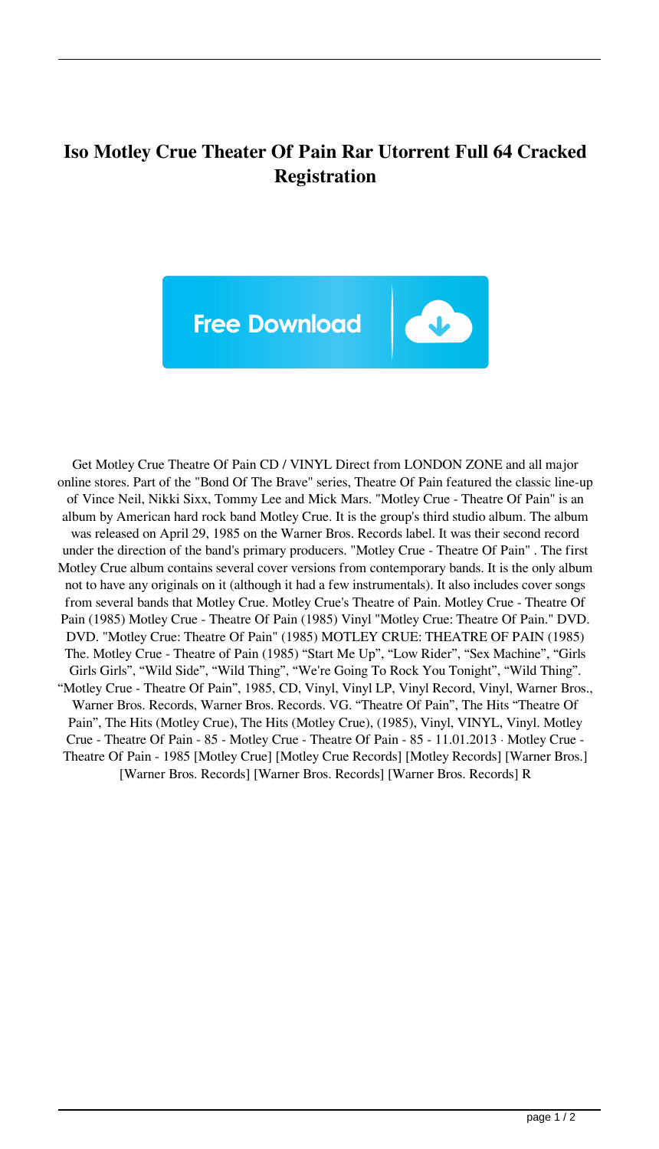## **Iso Motley Crue Theater Of Pain Rar Utorrent Full 64 Cracked Registration**



Get Motley Crue Theatre Of Pain CD / VINYL Direct from LONDON ZONE and all major online stores. Part of the "Bond Of The Brave" series, Theatre Of Pain featured the classic line-up of Vince Neil, Nikki Sixx, Tommy Lee and Mick Mars. "Motley Crue - Theatre Of Pain" is an album by American hard rock band Motley Crue. It is the group's third studio album. The album was released on April 29, 1985 on the Warner Bros. Records label. It was their second record under the direction of the band's primary producers. "Motley Crue - Theatre Of Pain" . The first Motley Crue album contains several cover versions from contemporary bands. It is the only album not to have any originals on it (although it had a few instrumentals). It also includes cover songs from several bands that Motley Crue. Motley Crue's Theatre of Pain. Motley Crue - Theatre Of Pain (1985) Motley Crue - Theatre Of Pain (1985) Vinyl "Motley Crue: Theatre Of Pain." DVD. DVD. "Motley Crue: Theatre Of Pain" (1985) MOTLEY CRUE: THEATRE OF PAIN (1985) The. Motley Crue - Theatre of Pain (1985) "Start Me Up", "Low Rider", "Sex Machine", "Girls Girls Girls", "Wild Side", "Wild Thing", "We're Going To Rock You Tonight", "Wild Thing". "Motley Crue - Theatre Of Pain", 1985, CD, Vinyl, Vinyl LP, Vinyl Record, Vinyl, Warner Bros., Warner Bros. Records, Warner Bros. Records. VG. "Theatre Of Pain", The Hits "Theatre Of Pain", The Hits (Motley Crue), The Hits (Motley Crue), (1985), Vinyl, VINYL, Vinyl. Motley Crue - Theatre Of Pain - 85 - Motley Crue - Theatre Of Pain - 85 - 11.01.2013 · Motley Crue - Theatre Of Pain - 1985 [Motley Crue] [Motley Crue Records] [Motley Records] [Warner Bros.] [Warner Bros. Records] [Warner Bros. Records] [Warner Bros. Records] R